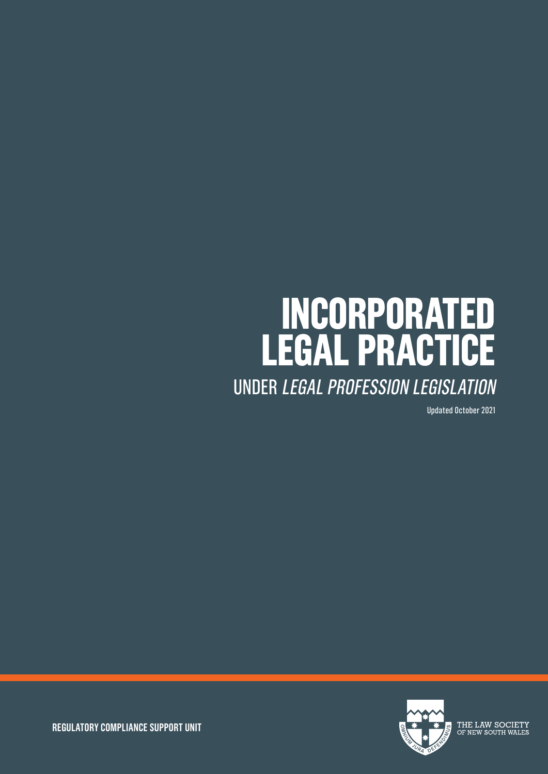# **INCORPORATED LEGAL PRACTICE** UNDER LEGAL PROFESSION LEGISLATION

Updated October 2021



THE LAW SOCIETY OF NEW SOUTH WALES

**REGULATORY COMPLIANCE SUPPORT UNIT**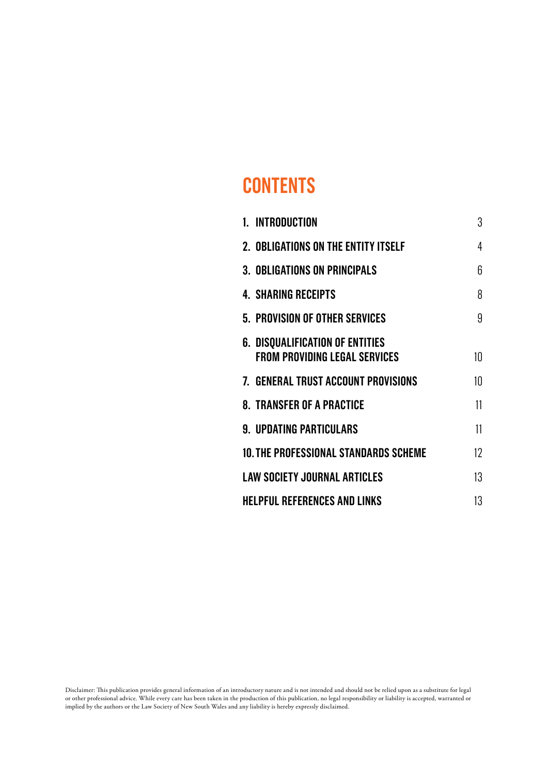# **CONTENTS**

| 1. INTRODUCTION                                                                | 3  |
|--------------------------------------------------------------------------------|----|
| 2. OBLIGATIONS ON THE ENTITY ITSELF                                            | 4  |
| <b>3. OBLIGATIONS ON PRINCIPALS</b>                                            | 6  |
| <b>4. SHARING RECEIPTS</b>                                                     | 8  |
| 5. PROVISION OF OTHER SERVICES                                                 | 9  |
| <b>6. DISQUALIFICATION OF ENTITIES</b><br><b>FROM PROVIDING LEGAL SERVICES</b> | 10 |
| 7. GENERAL TRUST ACCOUNT PROVISIONS                                            | 10 |
| <b>8. TRANSFER OF A PRACTICE</b>                                               | 11 |
| <b>9. UPDATING PARTICULARS</b>                                                 | 11 |
| 10. THE PROFESSIONAL STANDARDS SCHEME                                          | 12 |
| <b>LAW SOCIETY JOURNAL ARTICLES</b>                                            | 13 |
| <b>HELPFUL REFERENCES AND LINKS</b>                                            | 13 |

Disclaimer: This publication provides general information of an introductory nature and is not intended and should not be relied upon as a substitute for legal or other professional advice. While every care has been taken in the production of this publication, no legal responsibility or liability is accepted, warranted or implied by the authors or the Law Society of New South Wales and any liability is hereby expressly disclaimed.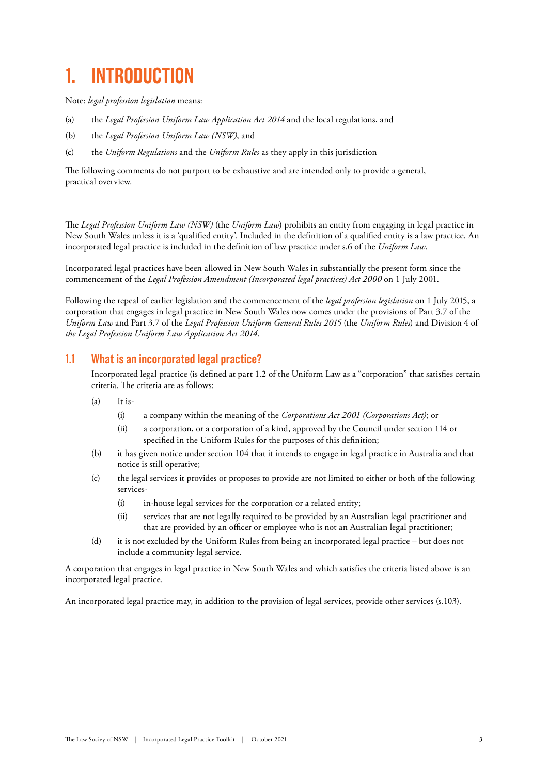# **1. INTRODUCTION**

Note: *legal profession legislation* means:

- (a) the *Legal Profession Uniform Law Application Act 2014* and the local regulations, and
- (b) the *Legal Profession Uniform Law (NSW)*, and
- (c) the *Uniform Regulations* and the *Uniform Rules* as they apply in this jurisdiction

The following comments do not purport to be exhaustive and are intended only to provide a general, practical overview.

The *Legal Profession Uniform Law (NSW)* (the *Uniform Law*) prohibits an entity from engaging in legal practice in New South Wales unless it is a 'qualified entity'. Included in the definition of a qualified entity is a law practice. An incorporated legal practice is included in the definition of law practice under s.6 of the *Uniform Law*.

Incorporated legal practices have been allowed in New South Wales in substantially the present form since the commencement of the *Legal Profession Amendment (Incorporated legal practices) Act 2000* on 1 July 2001.

Following the repeal of earlier legislation and the commencement of the *legal profession legislation* on 1 July 2015, a corporation that engages in legal practice in New South Wales now comes under the provisions of Part 3.7 of the *Uniform Law* and Part 3.7 of the *Legal Profession Uniform General Rules 2015* (the *Uniform Rules*) and Division 4 of *the Legal Profession Uniform Law Application Act 2014*.

### **1.1 What is an incorporated legal practice?**

Incorporated legal practice (is defined at part 1.2 of the Uniform Law as a "corporation" that satisfies certain criteria. The criteria are as follows:

- $(a)$  It is-
	- (i) a company within the meaning of the *Corporations Act 2001 (Corporations Act)*; or
	- (ii) a corporation, or a corporation of a kind, approved by the Council under section 114 or specified in the Uniform Rules for the purposes of this definition;
- (b) it has given notice under section 104 that it intends to engage in legal practice in Australia and that notice is still operative;
- (c) the legal services it provides or proposes to provide are not limited to either or both of the following services-
	- (i) in-house legal services for the corporation or a related entity;
	- (ii) services that are not legally required to be provided by an Australian legal practitioner and that are provided by an officer or employee who is not an Australian legal practitioner;
- (d) it is not excluded by the Uniform Rules from being an incorporated legal practice but does not include a community legal service.

A corporation that engages in legal practice in New South Wales and which satisfies the criteria listed above is an incorporated legal practice.

An incorporated legal practice may, in addition to the provision of legal services, provide other services (s.103).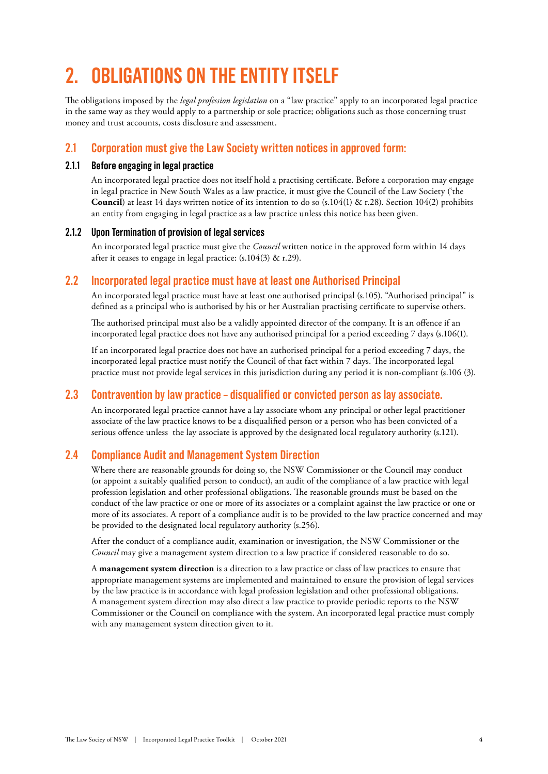# **2. OBLIGATIONS ON THE ENTITY ITSELF**

The obligations imposed by the *legal profession legislation* on a "law practice" apply to an incorporated legal practice in the same way as they would apply to a partnership or sole practice; obligations such as those concerning trust money and trust accounts, costs disclosure and assessment.

### **2.1 Corporation must give the Law Society written notices in approved form:**

#### **2.1.1 Before engaging in legal practice**

An incorporated legal practice does not itself hold a practising certificate. Before a corporation may engage in legal practice in New South Wales as a law practice, it must give the Council of the Law Society ('the **Council**) at least 14 days written notice of its intention to do so (s.104(1) & r.28). Section 104(2) prohibits an entity from engaging in legal practice as a law practice unless this notice has been given.

#### **2.1.2 Upon Termination of provision of legal services**

An incorporated legal practice must give the *Council* written notice in the approved form within 14 days after it ceases to engage in legal practice:  $(s.104(3) \&$  r.29).

### **2.2 Incorporated legal practice must have at least one Authorised Principal**

An incorporated legal practice must have at least one authorised principal (s.105). "Authorised principal" is defined as a principal who is authorised by his or her Australian practising certificate to supervise others.

The authorised principal must also be a validly appointed director of the company. It is an offence if an incorporated legal practice does not have any authorised principal for a period exceeding 7 days (s.106(1).

If an incorporated legal practice does not have an authorised principal for a period exceeding 7 days, the incorporated legal practice must notify the Council of that fact within 7 days. The incorporated legal practice must not provide legal services in this jurisdiction during any period it is non-compliant (s.106 (3).

### **2.3 Contravention by law practice – disqualified or convicted person as lay associate.**

An incorporated legal practice cannot have a lay associate whom any principal or other legal practitioner associate of the law practice knows to be a disqualified person or a person who has been convicted of a serious offence unless the lay associate is approved by the designated local regulatory authority (s.121).

### **2.4 Compliance Audit and Management System Direction**

Where there are reasonable grounds for doing so, the NSW Commissioner or the Council may conduct (or appoint a suitably qualified person to conduct), an audit of the compliance of a law practice with legal profession legislation and other professional obligations. The reasonable grounds must be based on the conduct of the law practice or one or more of its associates or a complaint against the law practice or one or more of its associates. A report of a compliance audit is to be provided to the law practice concerned and may be provided to the designated local regulatory authority (s.256).

After the conduct of a compliance audit, examination or investigation, the NSW Commissioner or the *Council* may give a management system direction to a law practice if considered reasonable to do so.

A **management system direction** is a direction to a law practice or class of law practices to ensure that appropriate management systems are implemented and maintained to ensure the provision of legal services by the law practice is in accordance with legal profession legislation and other professional obligations. A management system direction may also direct a law practice to provide periodic reports to the NSW Commissioner or the Council on compliance with the system. An incorporated legal practice must comply with any management system direction given to it.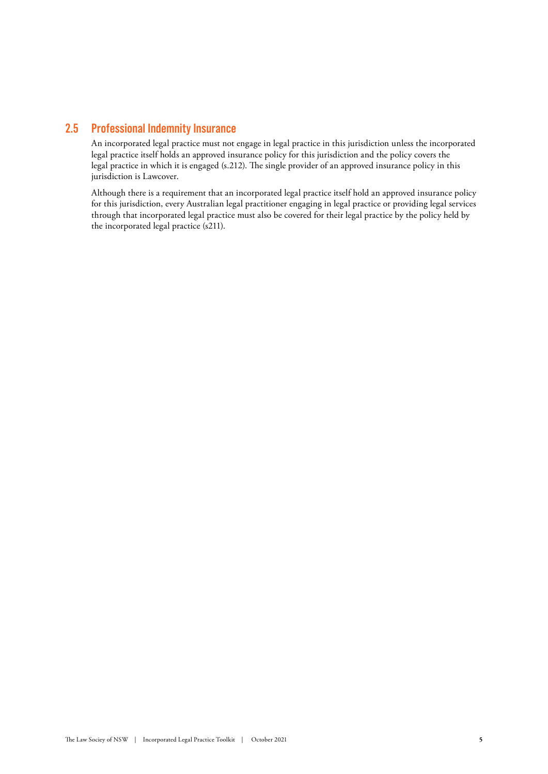### **2.5 Professional Indemnity Insurance**

An incorporated legal practice must not engage in legal practice in this jurisdiction unless the incorporated legal practice itself holds an approved insurance policy for this jurisdiction and the policy covers the legal practice in which it is engaged (s.212). The single provider of an approved insurance policy in this jurisdiction is Lawcover.

Although there is a requirement that an incorporated legal practice itself hold an approved insurance policy for this jurisdiction, every Australian legal practitioner engaging in legal practice or providing legal services through that incorporated legal practice must also be covered for their legal practice by the policy held by the incorporated legal practice (s211).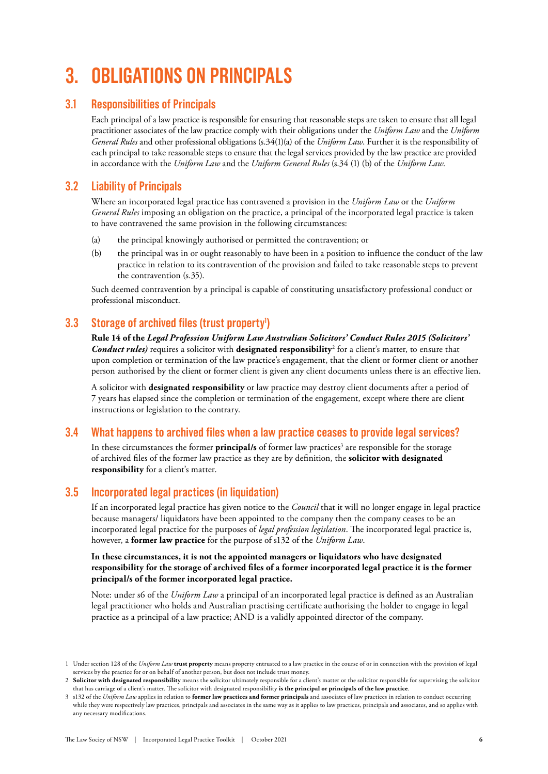# **3. OBLIGATIONS ON PRINCIPALS**

### **3.1 Responsibilities of Principals**

Each principal of a law practice is responsible for ensuring that reasonable steps are taken to ensure that all legal practitioner associates of the law practice comply with their obligations under the *Uniform Law* and the *Uniform General Rules* and other professional obligations (s.34(1)(a) of the *Uniform Law*. Further it is the responsibility of each principal to take reasonable steps to ensure that the legal services provided by the law practice are provided in accordance with the *Uniform Law* and the *Uniform General Rules* (s.34 (1) (b) of the *Uniform Law*.

### **3.2 Liability of Principals**

Where an incorporated legal practice has contravened a provision in the *Uniform Law* or the *Uniform General Rules* imposing an obligation on the practice, a principal of the incorporated legal practice is taken to have contravened the same provision in the following circumstances:

- (a) the principal knowingly authorised or permitted the contravention; or
- (b) the principal was in or ought reasonably to have been in a position to influence the conduct of the law practice in relation to its contravention of the provision and failed to take reasonable steps to prevent the contravention (s.35).

Such deemed contravention by a principal is capable of constituting unsatisfactory professional conduct or professional misconduct.

### **3.3** Storage of archived files (trust property<sup>1</sup>)

**Rule 14 of the** *Legal Profession Uniform Law Australian Solicitors' Conduct Rules 2015 (Solicitors' Conduct rules)* requires a solicitor with **designated responsibility**<sup>2</sup> for a client's matter, to ensure that upon completion or termination of the law practice's engagement, that the client or former client or another person authorised by the client or former client is given any client documents unless there is an effective lien.

A solicitor with **designated responsibility** or law practice may destroy client documents after a period of 7 years has elapsed since the completion or termination of the engagement, except where there are client instructions or legislation to the contrary.

### **3.4 What happens to archived files when a law practice ceases to provide legal services?**

In these circumstances the former **principal/s** of former law practices<sup>3</sup> are responsible for the storage of archived files of the former law practice as they are by definition, the **solicitor with designated responsibility** for a client's matter.

### **3.5 Incorporated legal practices (in liquidation)**

If an incorporated legal practice has given notice to the *Council* that it will no longer engage in legal practice because managers/ liquidators have been appointed to the company then the company ceases to be an incorporated legal practice for the purposes of *legal profession legislation*. The incorporated legal practice is, however, a **former law practice** for the purpose of s132 of the *Uniform Law*.

#### **In these circumstances, it is not the appointed managers or liquidators who have designated responsibility for the storage of archived files of a former incorporated legal practice it is the former principal/s of the former incorporated legal practice.**

Note: under s6 of the *Uniform Law* a principal of an incorporated legal practice is defined as an Australian legal practitioner who holds and Australian practising certificate authorising the holder to engage in legal practice as a principal of a law practice; AND is a validly appointed director of the company.

<sup>1</sup> Under section 128 of the *Uniform Law* **trust property** means property entrusted to a law practice in the course of or in connection with the provision of legal services by the practice for or on behalf of another person, but does not include trust money.

<sup>2</sup> **Solicitor with designated responsibility** means the solicitor ultimately responsible for a client's matter or the solicitor responsible for supervising the solicitor that has carriage of a client's matter. The solicitor with designated responsibility **is the principal or principals of the law practice**.

<sup>3</sup> s132 of the *Uniform Law* applies in relation to **former law practices and former principals** and associates of law practices in relation to conduct occurring while they were respectively law practices, principals and associates in the same way as it applies to law practices, principals and associates, and so applies with any necessary modifications.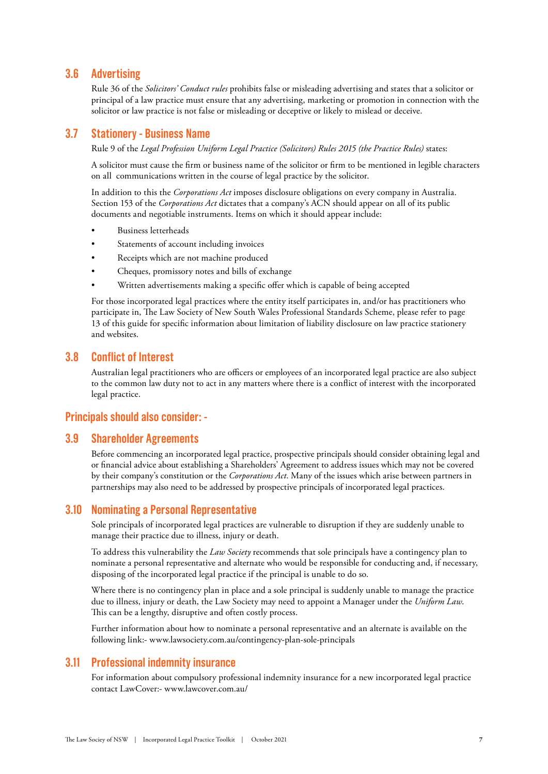#### **3.6 Advertising**

Rule 36 of the *Solicitors' Conduct rules* prohibits false or misleading advertising and states that a solicitor or principal of a law practice must ensure that any advertising, marketing or promotion in connection with the solicitor or law practice is not false or misleading or deceptive or likely to mislead or deceive.

#### **3.7 Stationery - Business Name**

Rule 9 of the *Legal Profession Uniform Legal Practice (Solicitors) Rules 2015 (the Practice Rules)* states:

A solicitor must cause the firm or business name of the solicitor or firm to be mentioned in legible characters on all communications written in the course of legal practice by the solicitor.

In addition to this the *Corporations Act* imposes disclosure obligations on every company in Australia. Section 153 of the *Corporations Act* dictates that a company's ACN should appear on all of its public documents and negotiable instruments. Items on which it should appear include:

- Business letterheads
- Statements of account including invoices
- Receipts which are not machine produced
- Cheques, promissory notes and bills of exchange
- Written advertisements making a specific offer which is capable of being accepted

For those incorporated legal practices where the entity itself participates in, and/or has practitioners who participate in, The Law Society of New South Wales Professional Standards Scheme, please refer to page 13 of this guide for specific information about limitation of liability disclosure on law practice stationery and websites.

#### **3.8 Conflict of Interest**

Australian legal practitioners who are officers or employees of an incorporated legal practice are also subject to the common law duty not to act in any matters where there is a conflict of interest with the incorporated legal practice.

#### **Principals should also consider: -**

#### **3.9 Shareholder Agreements**

Before commencing an incorporated legal practice, prospective principals should consider obtaining legal and or financial advice about establishing a Shareholders' Agreement to address issues which may not be covered by their company's constitution or the *Corporations Act*. Many of the issues which arise between partners in partnerships may also need to be addressed by prospective principals of incorporated legal practices.

#### **3.10 Nominating a Personal Representative**

Sole principals of incorporated legal practices are vulnerable to disruption if they are suddenly unable to manage their practice due to illness, injury or death.

To address this vulnerability the *Law Society* recommends that sole principals have a contingency plan to nominate a personal representative and alternate who would be responsible for conducting and, if necessary, disposing of the incorporated legal practice if the principal is unable to do so.

Where there is no contingency plan in place and a sole principal is suddenly unable to manage the practice due to illness, injury or death, the Law Society may need to appoint a Manager under the *Uniform Law*. This can be a lengthy, disruptive and often costly process.

Further information about how to nominate a personal representative and an alternate is available on the following link:- [www.lawsociety.com.au/contingency-plan-sole-principals](https://www.lawsociety.com.au/contingency-plan-sole-principals)

#### **3.11 Professional indemnity insurance**

For information about compulsory professional indemnity insurance for a new incorporated legal practice contact LawCover:- www.lawcover.com.au/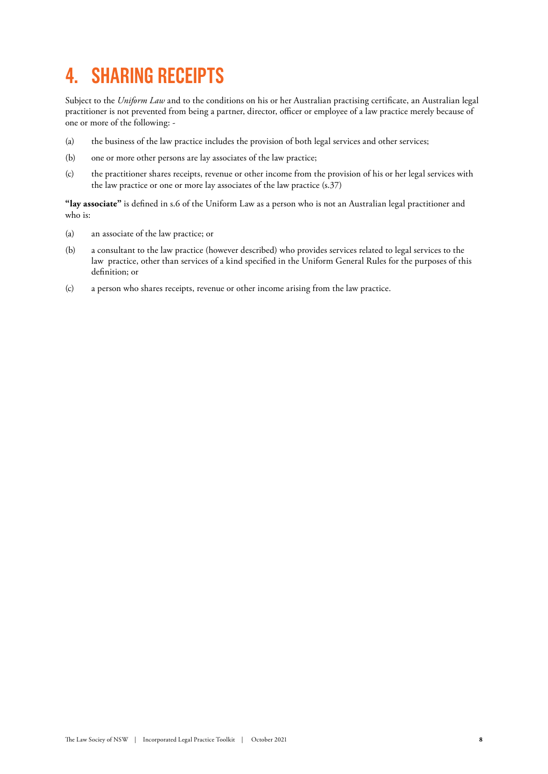# **4. SHARING RECEIPTS**

Subject to the *Uniform Law* and to the conditions on his or her Australian practising certificate, an Australian legal practitioner is not prevented from being a partner, director, officer or employee of a law practice merely because of one or more of the following: -

- (a) the business of the law practice includes the provision of both legal services and other services;
- (b) one or more other persons are lay associates of the law practice;
- (c) the practitioner shares receipts, revenue or other income from the provision of his or her legal services with the law practice or one or more lay associates of the law practice (s.37)

**"lay associate"** is defined in s.6 of the Uniform Law as a person who is not an Australian legal practitioner and who is:

- (a) an associate of the law practice; or
- (b) a consultant to the law practice (however described) who provides services related to legal services to the law practice, other than services of a kind specified in the Uniform General Rules for the purposes of this definition; or
- (c) a person who shares receipts, revenue or other income arising from the law practice.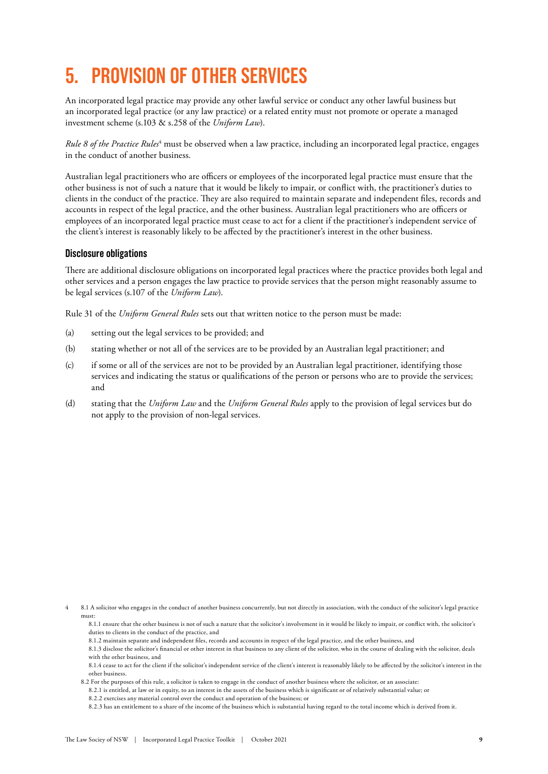# **5. PROVISION OF OTHER SERVICES**

An incorporated legal practice may provide any other lawful service or conduct any other lawful business but an incorporated legal practice (or any law practice) or a related entity must not promote or operate a managed investment scheme (s.103 & s.258 of the *Uniform Law*).

Rule 8 of the Practice Rules<sup>4</sup> must be observed when a law practice, including an incorporated legal practice, engages in the conduct of another business.

Australian legal practitioners who are officers or employees of the incorporated legal practice must ensure that the other business is not of such a nature that it would be likely to impair, or conflict with, the practitioner's duties to clients in the conduct of the practice. They are also required to maintain separate and independent files, records and accounts in respect of the legal practice, and the other business. Australian legal practitioners who are officers or employees of an incorporated legal practice must cease to act for a client if the practitioner's independent service of the client's interest is reasonably likely to be affected by the practitioner's interest in the other business.

#### **Disclosure obligations**

There are additional disclosure obligations on incorporated legal practices where the practice provides both legal and other services and a person engages the law practice to provide services that the person might reasonably assume to be legal services (s.107 of the *Uniform Law*).

Rule 31 of the *Uniform General Rules* sets out that written notice to the person must be made:

- (a) setting out the legal services to be provided; and
- (b) stating whether or not all of the services are to be provided by an Australian legal practitioner; and
- (c) if some or all of the services are not to be provided by an Australian legal practitioner, identifying those services and indicating the status or qualifications of the person or persons who are to provide the services; and
- (d) stating that the *Uniform Law* and the *Uniform General Rules* apply to the provision of legal services but do not apply to the provision of non-legal services.

8.1.2 maintain separate and independent files, records and accounts in respect of the legal practice, and the other business, and

<sup>8.1</sup> A solicitor who engages in the conduct of another business concurrently, but not directly in association, with the conduct of the solicitor's legal practice must:

<sup>8.1.1</sup> ensure that the other business is not of such a nature that the solicitor's involvement in it would be likely to impair, or conflict with, the solicitor's duties to clients in the conduct of the practice, and

<sup>8.1.3</sup> disclose the solicitor's financial or other interest in that business to any client of the solicitor, who in the course of dealing with the solicitor, deals with the other business, and

<sup>8.1.4</sup> cease to act for the client if the solicitor's independent service of the client's interest is reasonably likely to be affected by the solicitor's interest in the other business.

<sup>8.2</sup> For the purposes of this rule, a solicitor is taken to engage in the conduct of another business where the solicitor, or an associate:

<sup>8.2.1</sup> is entitled, at law or in equity, to an interest in the assets of the business which is significant or of relatively substantial value; or

<sup>8.2.2</sup> exercises any material control over the conduct and operation of the business; or

<sup>8.2.3</sup> has an entitlement to a share of the income of the business which is substantial having regard to the total income which is derived from it.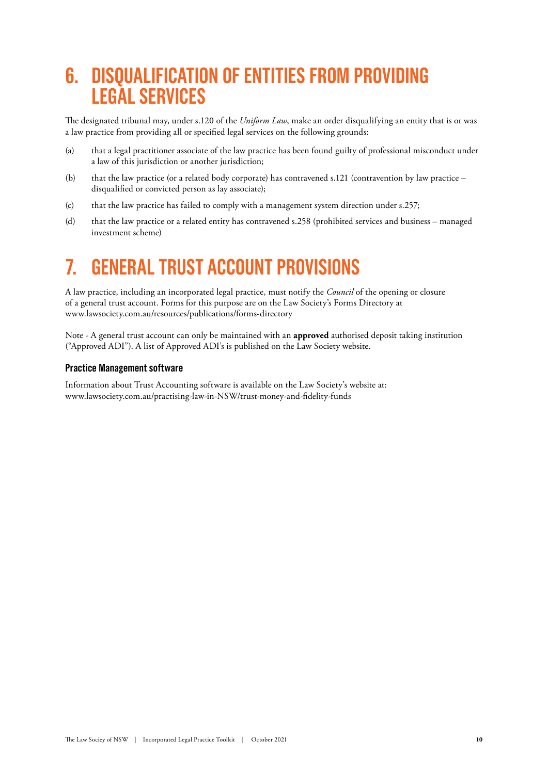# **6. DISQUALIFICATION OF ENTITIES FROM PROVIDING LEGAL SERVICES**

The designated tribunal may, under s.120 of the *Uniform Law*, make an order disqualifying an entity that is or was a law practice from providing all or specified legal services on the following grounds:

- (a) that a legal practitioner associate of the law practice has been found guilty of professional misconduct under a law of this jurisdiction or another jurisdiction;
- (b) that the law practice (or a related body corporate) has contravened s.121 (contravention by law practice disqualified or convicted person as lay associate);
- (c) that the law practice has failed to comply with a management system direction under s.257;
- (d) that the law practice or a related entity has contravened s.258 (prohibited services and business managed investment scheme)

# **7. GENERAL TRUST ACCOUNT PROVISIONS**

A law practice, including an incorporated legal practice, must notify the *Council* of the opening or closure of a general trust account. Forms for this purpose are on the Law Society's Forms Directory at [www.lawsociety.com.au/resources/publications/forms-directory](https://www.lawsociety.com.au/resources/publications/forms-directory)

Note - A general trust account can only be maintained with an **approved** authorised deposit taking institution ("Approved ADI"). A list of Approved ADI's is published on the Law Society website.

#### **Practice Management software**

Information about Trust Accounting software is available on the Law Society's website at: [www.lawsociety.com.au/practising-l](https://www.lawsociety.com.au/practising-)aw-in-NSW/trust-money-and-fidelity-funds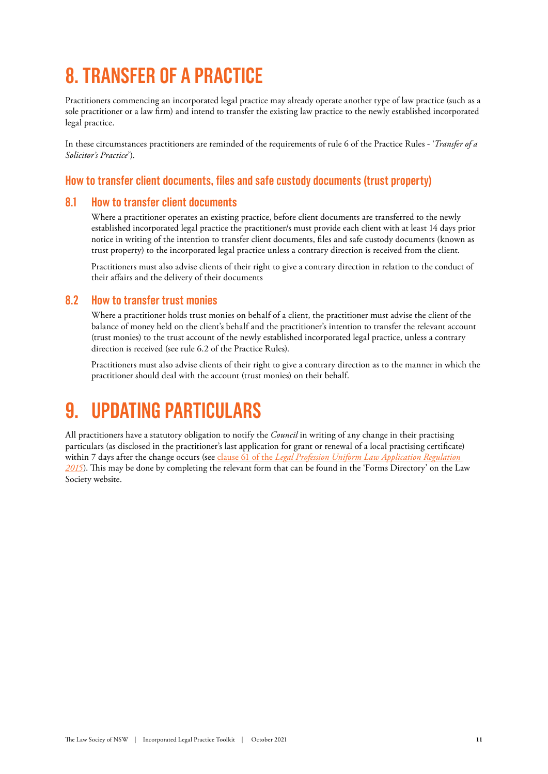# **8. TRANSFER OF A PRACTICE**

Practitioners commencing an incorporated legal practice may already operate another type of law practice (such as a sole practitioner or a law firm) and intend to transfer the existing law practice to the newly established incorporated legal practice.

In these circumstances practitioners are reminded of the requirements of rule 6 of the Practice Rules - '*Transfer of a Solicitor's Practice*').

### **How to transfer client documents, files and safe custody documents (trust property)**

#### **8.1 How to transfer client documents**

Where a practitioner operates an existing practice, before client documents are transferred to the newly established incorporated legal practice the practitioner/s must provide each client with at least 14 days prior notice in writing of the intention to transfer client documents, files and safe custody documents (known as trust property) to the incorporated legal practice unless a contrary direction is received from the client.

Practitioners must also advise clients of their right to give a contrary direction in relation to the conduct of their affairs and the delivery of their documents

### **8.2 How to transfer trust monies**

Where a practitioner holds trust monies on behalf of a client, the practitioner must advise the client of the balance of money held on the client's behalf and the practitioner's intention to transfer the relevant account (trust monies) to the trust account of the newly established incorporated legal practice, unless a contrary direction is received (see rule 6.2 of the Practice Rules).

Practitioners must also advise clients of their right to give a contrary direction as to the manner in which the practitioner should deal with the account (trust monies) on their behalf.

# **9. UPDATING PARTICULARS**

All practitioners have a statutory obligation to notify the *Council* in writing of any change in their practising particulars (as disclosed in the practitioner's last application for grant or renewal of a local practising certificate) within 7 days after the change occurs (see clause 61 of the *Legal Profession Uniform Law Application Regulation 2015*). This may be done by completing the relevant form that can be found in the 'Forms Directory' on the Law Society website.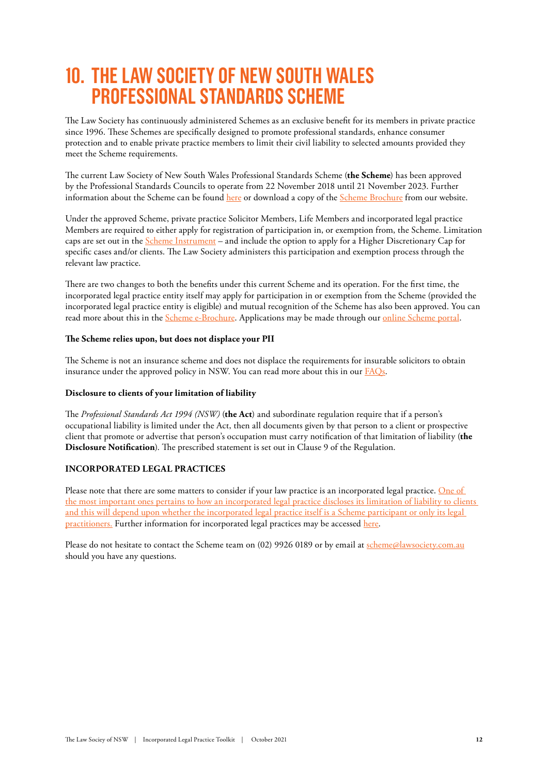# **10. THE LAW SOCIETY OF NEW SOUTH WALES PROFESSIONAL STANDARDS SCHEME**

The Law Society has continuously administered Schemes as an exclusive benefit for its members in private practice since 1996. These Schemes are specifically designed to promote professional standards, enhance consumer protection and to enable private practice members to limit their civil liability to selected amounts provided they meet the Scheme requirements.

The current Law Society of New South Wales Professional Standards Scheme (**the Scheme**) has been approved by the Professional Standards Councils to operate from 22 November 2018 until 21 November 2023. Further information about the Scheme can be found [here](https://www.lawsociety.com.au/practising-law-in-NSW/working-as-a-solicitor-in-NSW/scheme) or download a copy of the [Scheme Brochure](https://www.lawsociety.com.au/sites/default/files/2020-09/LS3447_Scheme_2020-21_Brochure_Web_2020-09-14_Final.pdf) from our website.

Under the approved Scheme, private practice Solicitor Members, Life Members and incorporated legal practice Members are required to either apply for registration of participation in, or exemption from, the Scheme. Limitation caps are set out in the [Scheme Instrument](https://www.lawsociety.com.au/sites/default/files/2018-10/New%20Scheme%20Instrument%20%28FINAL%29.pdf) – and include the option to apply for a Higher Discretionary Cap for specific cases and/or clients. The Law Society administers this participation and exemption process through the relevant law practice.

There are two changes to both the benefits under this current Scheme and its operation. For the first time, the incorporated legal practice entity itself may apply for participation in or exemption from the Scheme (provided the incorporated legal practice entity is eligible) and mutual recognition of the Scheme has also been approved. You can read more about this in the [Scheme e-Brochure](https://www.lawsociety.com.au/sites/default/files/2020-09/LS3447_Scheme_2020-21_Brochure_Web_2020-09-14_Final.pdf). Applications may be made through our online Scheme portal.

#### **The Scheme relies upon, but does not displace your PII**

The Scheme is not an insurance scheme and does not displace the requirements for insurable solicitors to obtain insurance under the approved policy in NSW. You can read more about this in our **FAQs**.

#### **Disclosure to clients of your limitation of liability**

The *Professional Standards Act 1994 (NSW)* (**the Act**) and subordinate regulation require that if a person's occupational liability is limited under the Act, then all documents given by that person to a client or prospective client that promote or advertise that person's occupation must carry notification of that limitation of liability (**the Disclosure Notification**). The prescribed statement is set out in Clause 9 of the Regulation.

#### **INCORPORATED LEGAL PRACTICES**

Please note that there are some matters to consider if your law practice is an incorporated legal practice. One of the most important ones pertains to how an incorporated legal practice discloses its limitation of liability to clients and this will depend upon whether the incorporated legal practice itself is a Scheme participant or only its legal practitioners. Further information for incorporated legal practices may be accessed [here.](https://www.lawsociety.com.au/sites/default/files/2020-10/LS3447_Scheme_2020-21_Factsheet_ILP_2020-10-02.pdf)

Please do not hesitate to contact the Scheme team on (02) 9926 0189 or by email at [scheme@lawsociety.com.au](mailto:scheme@lawsociety.com.au) should you have any questions.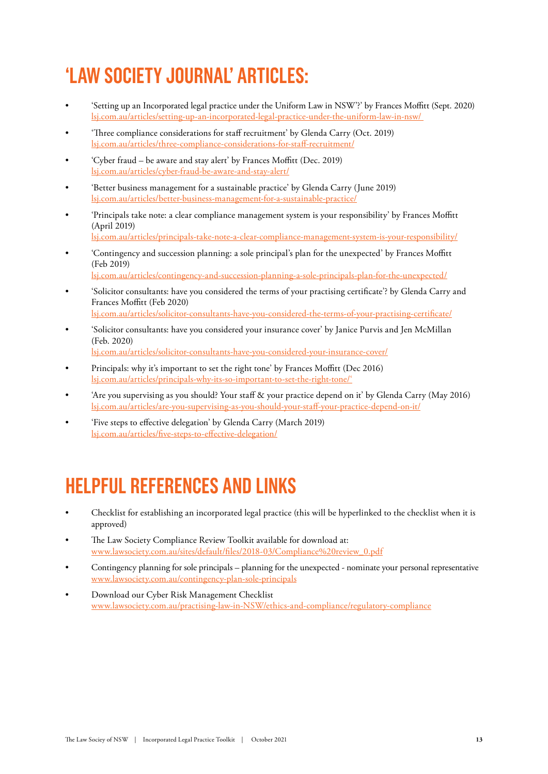# **'LAW SOCIETY JOURNAL' ARTICLES:**

- 'Setting up an Incorporated legal practice under the Uniform Law in NSW'?' by Frances Moffitt (Sept. 2020) [lsj.com.au/articles/setting-up-an-incorporated-legal-practice-under-the-uniform-law-in-nsw/](https://lsj.com.au/articles/setting-up-an-incorporated-legal-practice-under-the-uniform-law-in-nsw/)
- 'Three compliance considerations for staff recruitment' by Glenda Carry (Oct. 2019) [lsj.com.au/articles/three-compliance-considerations-for-staff-recruitment/](https://lsj.com.au/articles/three-compliance-considerations-for-staff-recruitment/)
- 'Cyber fraud be aware and stay alert' by Frances Moffitt (Dec. 2019) lsj.com.au/articles/cyber-fraud-be-aware-and-stay-alert/
- 'Better business management for a sustainable practice' by Glenda Carry (June 2019) lsj.com.au/articles/better-business-management-for-a-sustainable-practice/
- 'Principals take note: a clear compliance management system is your responsibility' by Frances Moffitt (April 2019) lsj.com.au/articles/principals-take-note-a-clear-compliance-management-system-is-your-responsibility/
- 'Contingency and succession planning: a sole principal's plan for the unexpected' by Frances Moffitt (Feb 2019)

lsj.com.au/articles/contingency-and-succession-planning-a-sole-principals-plan-for-the-unexpected/

- 'Solicitor consultants: have you considered the terms of your practising certificate'? by Glenda Carry and Frances Moffitt (Feb 2020) lsj.com.au/articles/solicitor-consultants-have-you-considered-the-terms-of-your-practising-certificate/
- 'Solicitor consultants: have you considered your insurance cover' by Janice Purvis and Jen McMillan

(Feb. 2020) lsj.com.au/articles/solicitor-consultants-have-you-considered-your-insurance-cover/

- Principals: why it's important to set the right tone' by Frances Moffitt (Dec 2016) lsj.com.au/articles/principals-why-its-so-important-to-set-the-right-tone/'
- 'Are you supervising as you should? Your staff & your practice depend on it' by Glenda Carry (May 2016) lsj.com.au/articles/are-you-supervising-as-you-should-your-staff-your-practice-depend-on-it/
- 'Five steps to effective delegation' by Glenda Carry (March 2019) lsj.com.au/articles/five-steps-to-effective-delegation/

# **HELPFUL REFERENCES AND LINKS**

- Checklist for establishing an incorporated legal practice (this will be hyperlinked to the checklist when it is approved)
- The Law Society Compliance Review Toolkit available for download at: [www.lawsociety.com.au/sites/default/files/2018-03/Compliance%20review\\_0.pdf](https://www.lawsociety.com.au/sites/default/files/2018-03/Compliance%20review_0.pdf)
- Contingency planning for sole principals planning for the unexpected nominate your personal representative [www.lawsociety.com.au/contingency-plan-sole-principals](https://www.lawsociety.com.au/contingency-plan-sole-principals)
- Download our Cyber Risk Management Checklist www.lawsociety.com.au/practising-law-in-NSW/ethics-and-compliance/regulatory-compliance